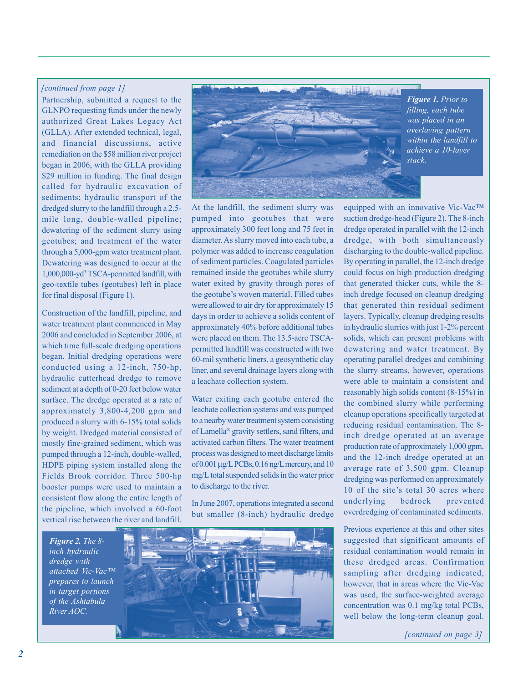## *[continued from page 1]*

Partnership, submitted a request to the GLNPO requesting funds under the newly authorized Great Lakes Legacy Act (GLLA). After extended technical, legal, and financial discussions, active remediation on the \$58 million river project began in 2006, with the GLLA providing \$29 million in funding. The final design called for hydraulic excavation of sediments; hydraulic transport of the dredged slurry to the landfill through a 2.5 mile long, double-walled pipeline; dewatering of the sediment slurry using geotubes; and treatment of the water through a 5,000-gpm water treatment plant. Dewatering was designed to occur at the 1,000,000-yd3 TSCA-permitted landfill, with geo-textile tubes (geotubes) left in place for final disposal (Figure 1).

Construction of the landfill, pipeline, and water treatment plant commenced in May 2006 and concluded in September 2006, at which time full-scale dredging operations began. Initial dredging operations were conducted using a 12-inch, 750-hp, hydraulic cutterhead dredge to remove sediment at a depth of 0-20 feet below water surface. The dredge operated at a rate of approximately 3,800-4,200 gpm and produced a slurry with 6-15% total solids by weight. Dredged material consisted of mostly fine-grained sediment, which was pumped through a 12-inch, double-walled, HDPE piping system installed along the Fields Brook corridor. Three 500-hp booster pumps were used to maintain a consistent flow along the entire length of the pipeline, which involved a 60-foot vertical rise between the river and landfill.

*Figure 2. The 8 inch hydraulic dredge with attached Vic-Vac™ prepares to launch in target portions of the Ashtabula River AOC.* 





*Figure 1. Prior to filling, each tube was placed in an overlaying pattern within the landfill to achieve a 10-layer stack.* 

At the landfill, the sediment slurry was pumped into geotubes that were approximately 300 feet long and 75 feet in diameter. As slurry moved into each tube, a polymer was added to increase coagulation of sediment particles. Coagulated particles remained inside the geotubes while slurry water exited by gravity through pores of the geotube's woven material. Filled tubes were allowed to air dry for approximately 15 days in order to achieve a solids content of approximately 40% before additional tubes were placed on them. The 13.5-acre TSCApermitted landfill was constructed with two 60-mil synthetic liners, a geosynthetic clay liner, and several drainage layers along with a leachate collection system.

Water exiting each geotube entered the leachate collection systems and was pumped to a nearby water treatment system consisting of Lamella® gravity settlers, sand filters, and activated carbon filters. The water treatment process was designed to meet discharge limits of 0.001 μg/L PCBs, 0.16 ng/L mercury, and 10 mg/L total suspended solids in the water prior to discharge to the river.

In June 2007, operations integrated a second but smaller (8-inch) hydraulic dredge equipped with an innovative Vic-Vac™ suction dredge-head (Figure 2). The 8-inch dredge operated in parallel with the 12-inch dredge, with both simultaneously discharging to the double-walled pipeline. By operating in parallel, the 12-inch dredge could focus on high production dredging that generated thicker cuts, while the 8 inch dredge focused on cleanup dredging that generated thin residual sediment layers. Typically, cleanup dredging results in hydraulic slurries with just 1-2% percent solids, which can present problems with dewatering and water treatment. By operating parallel dredges and combining the slurry streams, however, operations were able to maintain a consistent and reasonably high solids content (8-15%) in the combined slurry while performing cleanup operations specifically targeted at reducing residual contamination. The 8 inch dredge operated at an average production rate of approximately 1,000 gpm, and the 12-inch dredge operated at an average rate of 3,500 gpm. Cleanup dredging was performed on approximately 10 of the site's total 30 acres where underlying bedrock prevented overdredging of contaminated sediments.

Previous experience at this and other sites suggested that significant amounts of residual contamination would remain in these dredged areas. Confirmation sampling after dredging indicated, however, that in areas where the Vic-Vac was used, the surface-weighted average concentration was 0.1 mg/kg total PCBs, well below the long-term cleanup goal.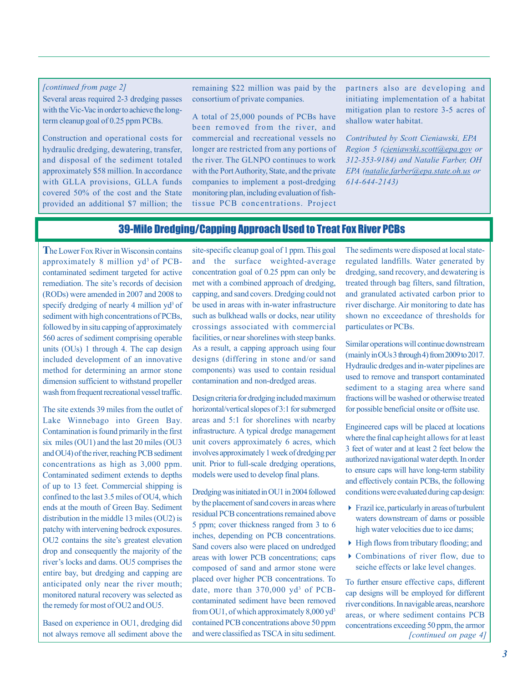## *[continued from page 2]*

 term cleanup goal of 0.25 ppm PCBs. Several areas required 2-3 dredging passes with the Vic-Vac in order to achieve the long-

Construction and operational costs for hydraulic dredging, dewatering, transfer, and disposal of the sediment totaled approximately \$58 million. In accordance with GLLA provisions, GLLA funds covered 50% of the cost and the State provided an additional \$7 million; the remaining \$22 million was paid by the consortium of private companies.

A total of 25,000 pounds of PCBs have been removed from the river, and commercial and recreational vessels no longer are restricted from any portions of the river. The GLNPO continues to work with the Port Authority, State, and the private companies to implement a post-dredging monitoring plan, including evaluation of fishtissue PCB concentrations. Project partners also are developing and initiating implementation of a habitat mitigation plan to restore 3-5 acres of shallow water habitat.

*Contributed by Scott Cieniawski, EPA Region 5 (cieniawski.scott@epa.gov or 312-353-9184) and Natalie Farber, OH EPA (natalie.farber@epa.state.oh.us or 614-644-2143)* 

## 39-Mile Dredging/Capping Approach Used to Treat Fox River PCBs

**T**he Lower Fox River in Wisconsin contains approximately 8 million  $yd^3$  of PCBcontaminated sediment targeted for active remediation. The site's records of decision (RODs) were amended in 2007 and 2008 to specify dredging of nearly 4 million  $yd^3$  of sediment with high concentrations of PCBs, followed by in situ capping of approximately 560 acres of sediment comprising operable units (OUs) 1 through 4. The cap design included development of an innovative method for determining an armor stone dimension sufficient to withstand propeller wash from frequent recreational vessel traffic.

The site extends 39 miles from the outlet of Lake Winnebago into Green Bay. Contamination is found primarily in the first six miles (OU1) and the last 20 miles (OU3 and OU4) of the river, reaching PCB sediment concentrations as high as 3,000 ppm. Contaminated sediment extends to depths of up to 13 feet. Commercial shipping is confined to the last 3.5 miles of OU4, which ends at the mouth of Green Bay. Sediment distribution in the middle 13 miles (OU2) is patchy with intervening bedrock exposures. OU2 contains the site's greatest elevation drop and consequently the majority of the river's locks and dams. OU5 comprises the entire bay, but dredging and capping are anticipated only near the river mouth; monitored natural recovery was selected as the remedy for most of OU2 and OU5.

Based on experience in OU1, dredging did not always remove all sediment above the site-specific cleanup goal of 1 ppm. This goal and the surface weighted-average concentration goal of 0.25 ppm can only be met with a combined approach of dredging, capping, and sand covers. Dredging could not be used in areas with in-water infrastructure such as bulkhead walls or docks, near utility crossings associated with commercial facilities, or near shorelines with steep banks. As a result, a capping approach using four designs (differing in stone and/or sand components) was used to contain residual contamination and non-dredged areas.

Design criteria for dredging included maximum horizontal/vertical slopes of 3:1 for submerged areas and 5:1 for shorelines with nearby infrastructure. A typical dredge management unit covers approximately 6 acres, which involves approximately 1 week of dredging per unit. Prior to full-scale dredging operations, models were used to develop final plans.

Dredging was initiated in OU1 in 2004 followed by the placement of sand covers in areas where residual PCB concentrations remained above 5 ppm; cover thickness ranged from 3 to 6 inches, depending on PCB concentrations. Sand covers also were placed on undredged areas with lower PCB concentrations; caps composed of sand and armor stone were placed over higher PCB concentrations. To date, more than  $370,000$  yd<sup>3</sup> of PCB contaminated sediment have been removed from OU1, of which approximately 8,000 yd<sup>3</sup> contained PCB concentrations above 50 ppm and were classified as TSCA in situ sediment.

The sediments were disposed at local stateregulated landfills. Water generated by dredging, sand recovery, and dewatering is treated through bag filters, sand filtration, and granulated activated carbon prior to river discharge. Air monitoring to date has shown no exceedance of thresholds for particulates or PCBs.

Similar operations will continue downstream (mainly inOUs 3 through 4) from 2009 to 2017. Hydraulic dredges and in-water pipelines are used to remove and transport contaminated sediment to a staging area where sand fractions will be washed or otherwise treated for possible beneficial onsite or offsite use.

Engineered caps will be placed at locations where the final cap height allows for at least 3 feet of water and at least 2 feet below the authorized navigational water depth. In order to ensure caps will have long-term stability and effectively contain PCBs, the following conditions were evaluated during cap design:

- Frazil ice, particularly in areas of turbulent waters downstream of dams or possible high water velocities due to ice dams;
- High flows from tributary flooding; and
- Combinations of river flow, due to seiche effects or lake level changes.

*[continued on page 4]*  To further ensure effective caps, different cap designs will be employed for different river conditions. In navigable areas, nearshore areas, or where sediment contains PCB concentrations exceeding 50 ppm, the armor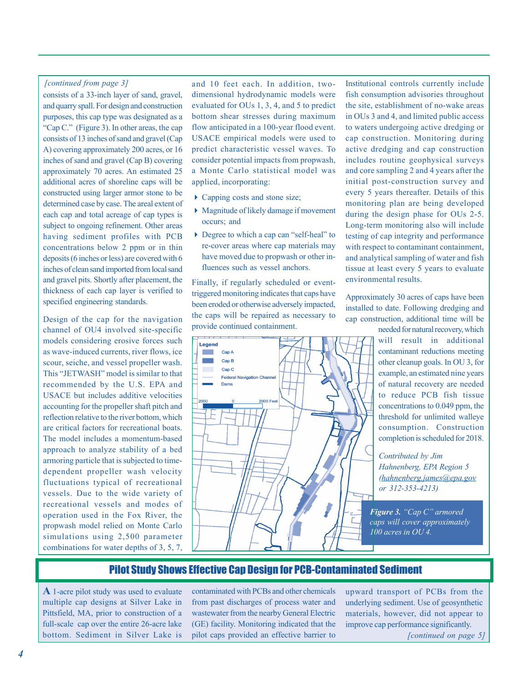consists of a 33-inch layer of sand, gravel, and quarry spall. For design and construction purposes, this cap type was designated as a "Cap C." (Figure 3). In other areas, the cap consists of 13 inches of sand and gravel (Cap A) covering approximately 200 acres, or 16 inches of sand and gravel (Cap B) covering approximately 70 acres. An estimated 25 additional acres of shoreline caps will be constructed using larger armor stone to be determined case by case. The areal extent of each cap and total acreage of cap types is subject to ongoing refinement. Other areas having sediment profiles with PCB concentrations below 2 ppm or in thin deposits (6 inches or less) are covered with 6 inches of clean sand imported from local sand and gravel pits. Shortly after placement, the thickness of each cap layer is verified to specified engineering standards.

Design of the cap for the navigation channel of OU4 involved site-specific models considering erosive forces such as wave-induced currents, river flows, ice scour, seiche, and vessel propeller wash. This "JETWASH" model is similar to that recommended by the U.S. EPA and USACE but includes additive velocities accounting for the propeller shaft pitch and reflection relative to the river bottom, which are critical factors for recreational boats. The model includes a momentum-based approach to analyze stability of a bed armoring particle that is subjected to timedependent propeller wash velocity fluctuations typical of recreational vessels. Due to the wide variety of recreational vessels and modes of operation used in the Fox River, the propwash model relied on Monte Carlo simulations using 2,500 parameter combinations for water depths of 3, 5, 7,

*[continued from page 3]* and 10 feet each. In addition, twodimensional hydrodynamic models were evaluated for OUs 1, 3, 4, and 5 to predict bottom shear stresses during maximum flow anticipated in a 100-year flood event. USACE empirical models were used to predict characteristic vessel waves. To consider potential impacts from propwash, a Monte Carlo statistical model was applied, incorporating:

- $\triangleright$  Capping costs and stone size;
- Magnitude of likely damage if movement occurs; and
- Degree to which a cap can "self-heal" to re-cover areas where cap materials may have moved due to propwash or other influences such as vessel anchors.

Finally, if regularly scheduled or eventtriggered monitoring indicates that caps have been eroded or otherwise adversely impacted, the caps will be repaired as necessary to provide continued containment.



Institutional controls currently include fish consumption advisories throughout the site, establishment of no-wake areas in OUs 3 and 4, and limited public access to waters undergoing active dredging or cap construction. Monitoring during active dredging and cap construction includes routine geophysical surveys and core sampling 2 and 4 years after the initial post-construction survey and every 5 years thereafter. Details of this monitoring plan are being developed during the design phase for OUs 2-5. Long-term monitoring also will include testing of cap integrity and performance with respect to contaminant containment, and analytical sampling of water and fish tissue at least every 5 years to evaluate environmental results.

Approximately 30 acres of caps have been installed to date. Following dredging and cap construction, additional time will be

> needed for natural recovery, which will result in additional contaminant reductions meeting other cleanup goals. In OU 3, for example, an estimated nine years of natural recovery are needed to reduce PCB fish tissue concentrations to 0.049 ppm, the threshold for unlimited walleye consumption. Construction completion is scheduled for 2018.

*Contributed by Jim Hahnenberg, EPA Region 5 (hahnenberg.james@epa.gov or 312-353-4213)* 

*Figure 3. "Cap C" armored caps will cover approximately 100 acres in OU 4.* 

# Pilot Study Shows Effective Cap Design for PCB-Contaminated Sediment

**A** 1-acre pilot study was used to evaluate multiple cap designs at Silver Lake in Pittsfield, MA, prior to construction of a full-scale cap over the entire 26-acre lake bottom. Sediment in Silver Lake is contaminated with PCBs and other chemicals from past discharges of process water and wastewater from the nearby General Electric (GE) facility. Monitoring indicated that the pilot caps provided an effective barrier to

upward transport of PCBs from the underlying sediment. Use of geosynthetic materials, however, did not appear to improve cap performance significantly. *[continued on page 5]*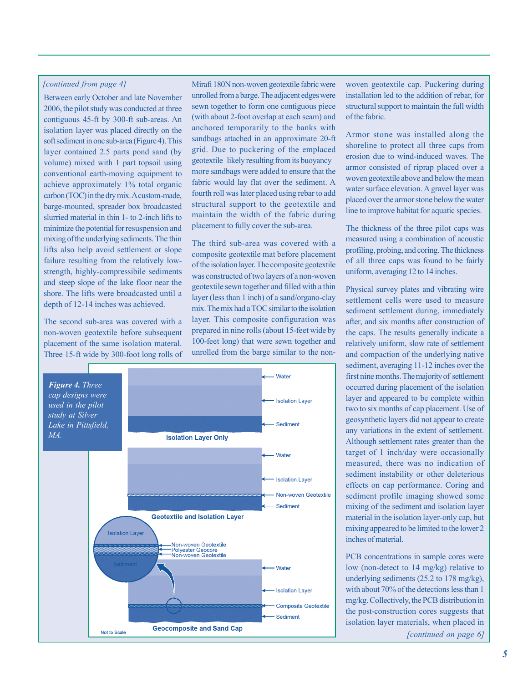## *[continued from page 4]*

Between early October and late November 2006, the pilot study was conducted at three contiguous 45-ft by 300-ft sub-areas. An isolation layer was placed directly on the soft sediment in one sub-area (Figure 4). This layer contained 2.5 parts pond sand (by volume) mixed with 1 part topsoil using conventional earth-moving equipment to achieve approximately 1% total organic carbon (TOC) in the dry mix. A custom-made, barge-mounted, spreader box broadcasted slurried material in thin 1- to 2-inch lifts to minimize the potential for resuspension and mixing of the underlying sediments. The thin lifts also help avoid settlement or slope failure resulting from the relatively lowstrength, highly-compressibile sediments and steep slope of the lake floor near the shore. The lifts were broadcasted until a depth of 12-14 inches was achieved.

The second sub-area was covered with a non-woven geotextile before subsequent placement of the same isolation materal. Three 15-ft wide by 300-foot long rolls of Mirafi 180N non-woven geotextile fabric were unrolled from a barge. The adjacent edges were sewn together to form one contiguous piece (with about 2-foot overlap at each seam) and anchored temporarily to the banks with sandbags attached in an approximate 20-ft grid. Due to puckering of the emplaced geotextile–likely resulting from its buoyancy– more sandbags were added to ensure that the fabric would lay flat over the sediment. A fourth roll was later placed using rebar to add structural support to the geotextile and maintain the width of the fabric during placement to fully cover the sub-area.

The third sub-area was covered with a composite geotextile mat before placement of the isolation layer. The composite geotextile was constructed of two layers of a non-woven geotextile sewn together and filled with a thin layer (less than 1 inch) of a sand/organo-clay mix. The mix had a TOC similar to the isolation layer. This composite configuration was prepared in nine rolls (about 15-feet wide by 100-feet long) that were sewn together and unrolled from the barge similar to the non-



woven geotextile cap. Puckering during installation led to the addition of rebar, for structural support to maintain the full width of the fabric.

Armor stone was installed along the shoreline to protect all three caps from erosion due to wind-induced waves. The armor consisted of riprap placed over a woven geotextile above and below the mean water surface elevation. A gravel layer was placed over the armor stone below the water line to improve habitat for aquatic species.

The thickness of the three pilot caps was measured using a combination of acoustic profiling, probing, and coring. The thickness of all three caps was found to be fairly uniform, averaging 12 to 14 inches.

Physical survey plates and vibrating wire settlement cells were used to measure sediment settlement during, immediately after, and six months after construction of the caps. The results generally indicate a relatively uniform, slow rate of settlement and compaction of the underlying native sediment, averaging 11-12 inches over the first nine months. The majority of settlement occurred during placement of the isolation layer and appeared to be complete within two to six months of cap placement. Use of geosynthetic layers did not appear to create any variations in the extent of settlement. Although settlement rates greater than the target of 1 inch/day were occasionally measured, there was no indication of sediment instability or other deleterious effects on cap performance. Coring and sediment profile imaging showed some mixing of the sediment and isolation layer material in the isolation layer-only cap, but mixing appeared to be limited to the lower 2 inches of material.

PCB concentrations in sample cores were low (non-detect to 14 mg/kg) relative to underlying sediments (25.2 to 178 mg/kg), with about 70% of the detections less than 1 mg/kg. Collectively, the PCB distribution in the post-construction cores suggests that isolation layer materials, when placed in *[continued on page 6]*